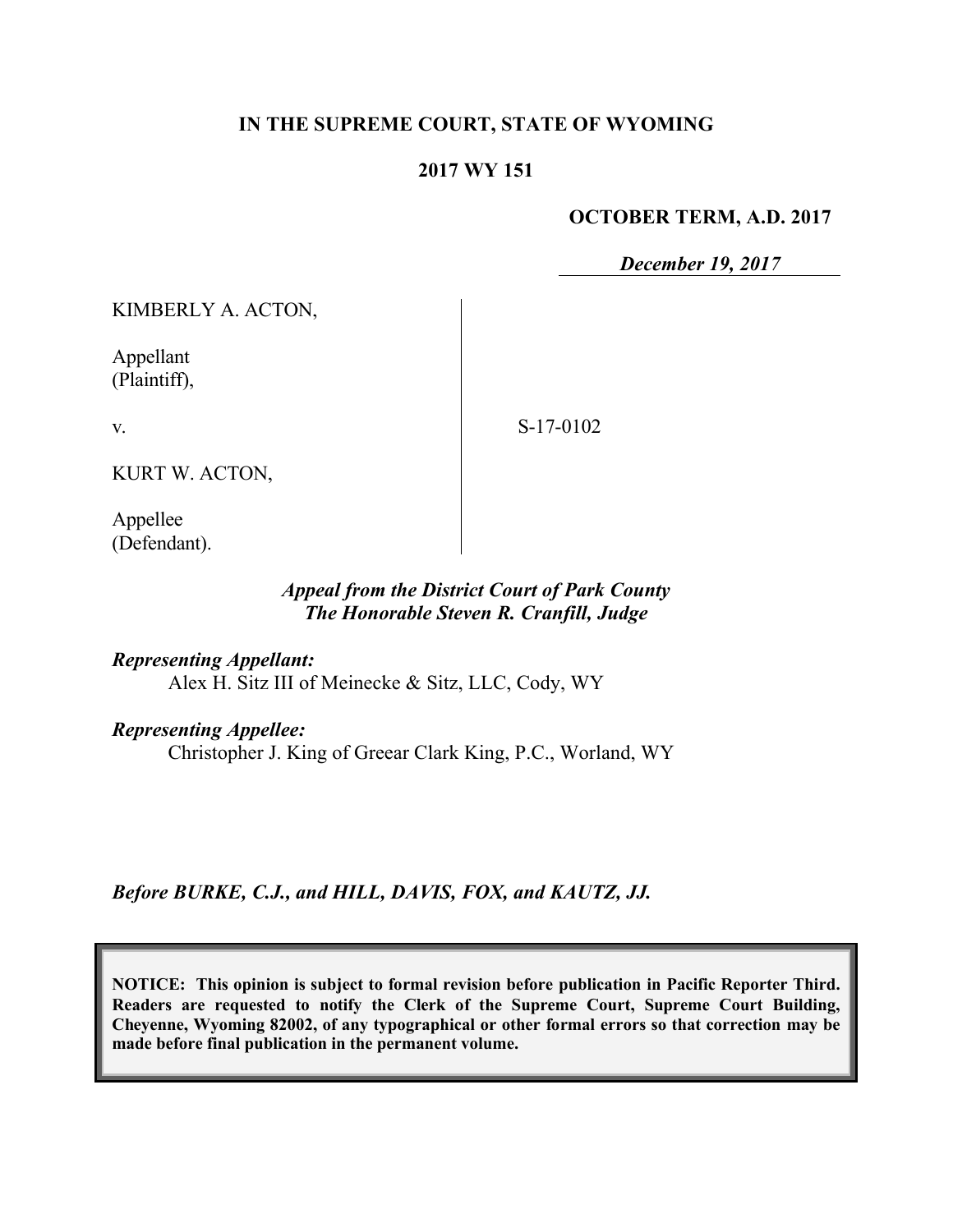## **IN THE SUPREME COURT, STATE OF WYOMING**

#### **2017 WY 151**

#### **OCTOBER TERM, A.D. 2017**

*December 19, 2017*

KIMBERLY A. ACTON,

Appellant (Plaintiff),

v.

S-17-0102

KURT W. ACTON,

Appellee (Defendant).

## *Appeal from the District Court of Park County The Honorable Steven R. Cranfill, Judge*

*Representing Appellant:* Alex H. Sitz III of Meinecke & Sitz, LLC, Cody, WY

*Representing Appellee:*

Christopher J. King of Greear Clark King, P.C., Worland, WY

*Before BURKE, C.J., and HILL, DAVIS, FOX, and KAUTZ, JJ.*

**NOTICE: This opinion is subject to formal revision before publication in Pacific Reporter Third. Readers are requested to notify the Clerk of the Supreme Court, Supreme Court Building, Cheyenne, Wyoming 82002, of any typographical or other formal errors so that correction may be made before final publication in the permanent volume.**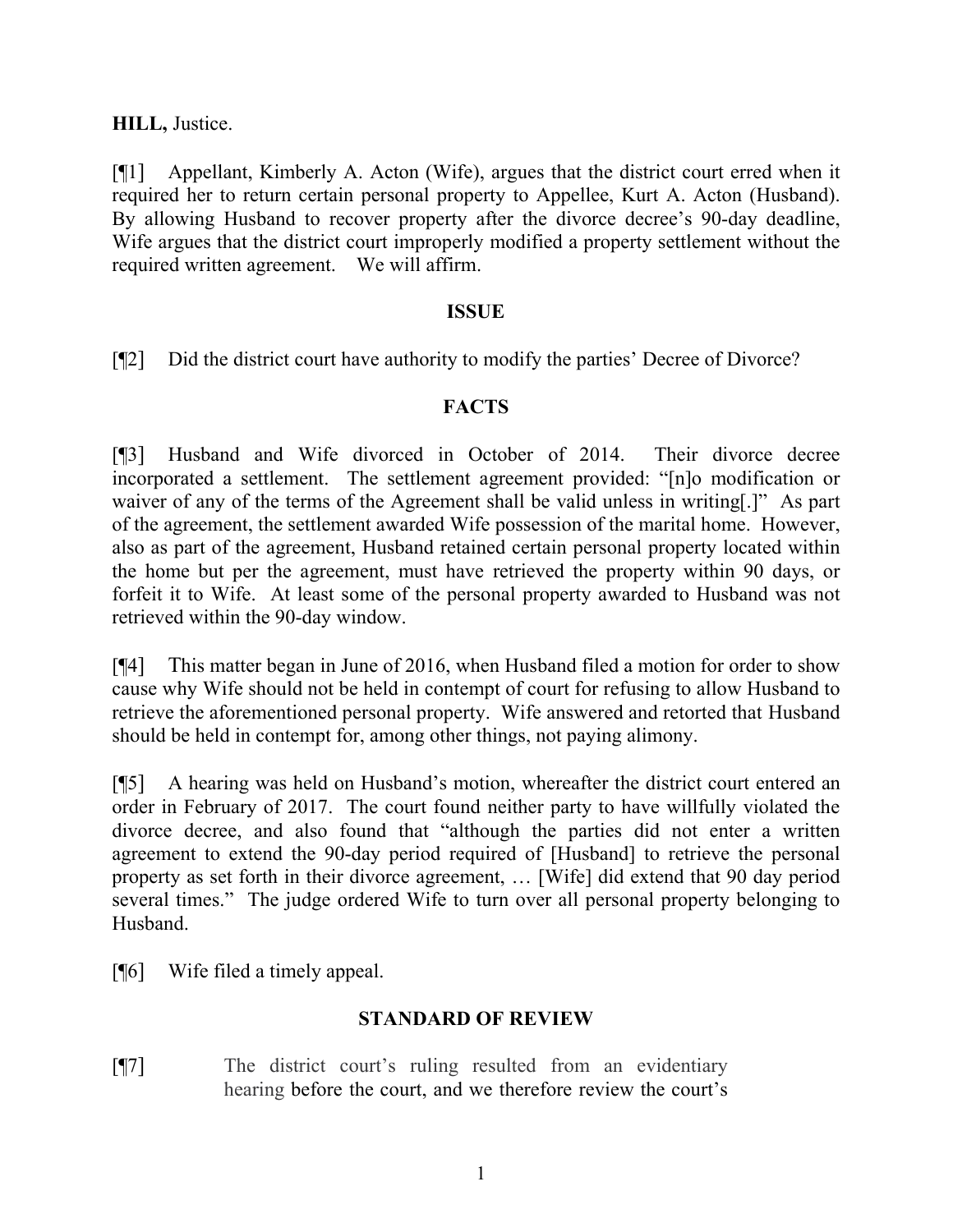**HILL,** Justice.

[¶1] Appellant, Kimberly A. Acton (Wife), argues that the district court erred when it required her to return certain personal property to Appellee, Kurt A. Acton (Husband). By allowing Husband to recover property after the divorce decree's 90-day deadline, Wife argues that the district court improperly modified a property settlement without the required written agreement. We will affirm.

## **ISSUE**

[¶2] Did the district court have authority to modify the parties' Decree of Divorce?

# **FACTS**

[¶3] Husband and Wife divorced in October of 2014. Their divorce decree incorporated a settlement. The settlement agreement provided: "[n]o modification or waiver of any of the terms of the Agreement shall be valid unless in writing[.]" As part of the agreement, the settlement awarded Wife possession of the marital home. However, also as part of the agreement, Husband retained certain personal property located within the home but per the agreement, must have retrieved the property within 90 days, or forfeit it to Wife. At least some of the personal property awarded to Husband was not retrieved within the 90-day window.

[¶4] This matter began in June of 2016, when Husband filed a motion for order to show cause why Wife should not be held in contempt of court for refusing to allow Husband to retrieve the aforementioned personal property. Wife answered and retorted that Husband should be held in contempt for, among other things, not paying alimony.

[¶5] A hearing was held on Husband's motion, whereafter the district court entered an order in February of 2017. The court found neither party to have willfully violated the divorce decree, and also found that "although the parties did not enter a written agreement to extend the 90-day period required of [Husband] to retrieve the personal property as set forth in their divorce agreement, … [Wife] did extend that 90 day period several times." The judge ordered Wife to turn over all personal property belonging to Husband.

[¶6] Wife filed a timely appeal.

# **STANDARD OF REVIEW**

[¶7] The district court's ruling resulted from an evidentiary hearing before the court, and we therefore review the court's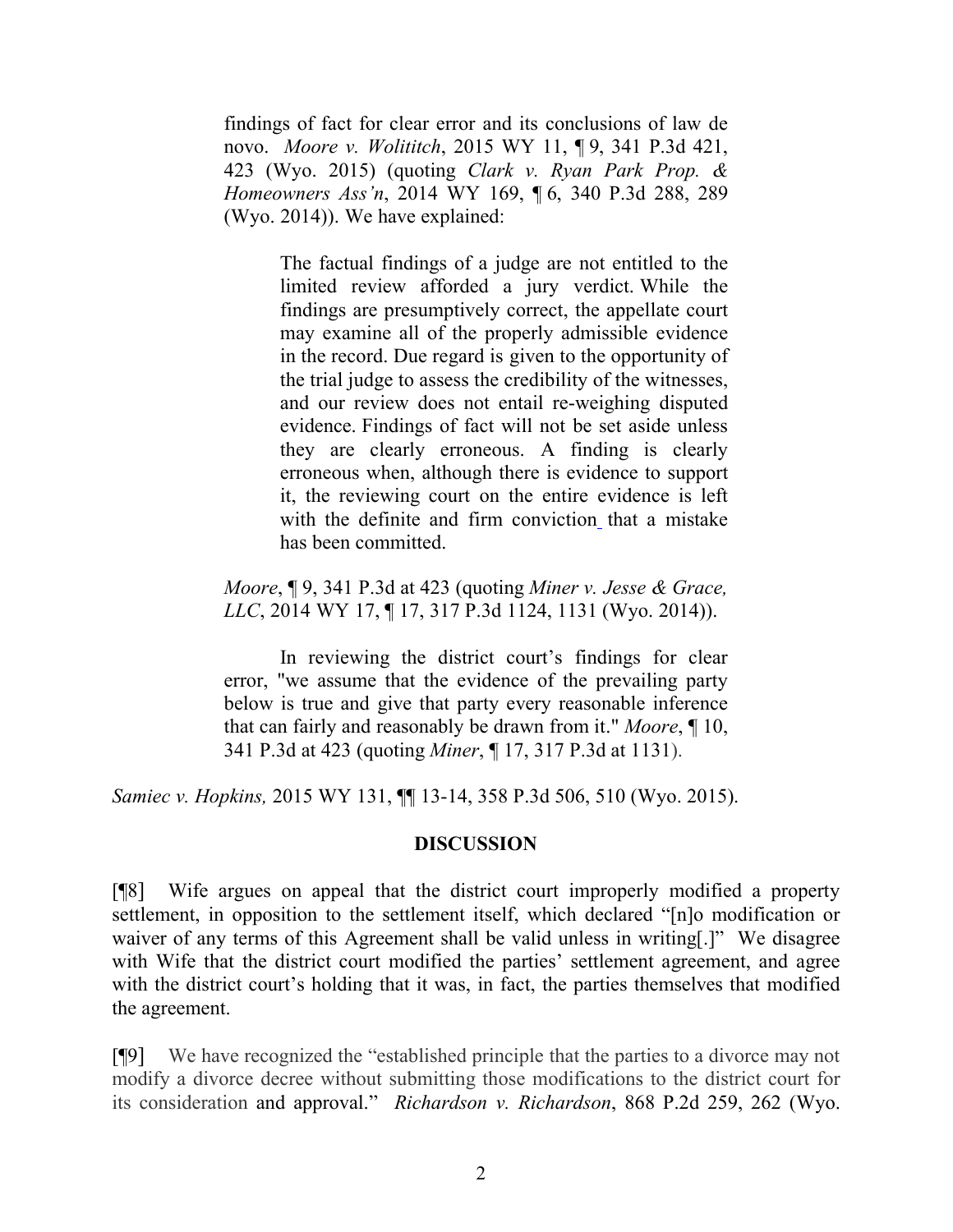findings of fact for clear error and its conclusions of law de novo. *Moore v. Wolititch*, 2015 WY 11, ¶ 9, 341 P.3d 421, 423 (Wyo. 2015) (quoting *Clark v. Ryan Park Prop. & Homeowners Ass'n*, 2014 WY 169, ¶ 6, 340 P.3d 288, 289 (Wyo. 2014)). We have explained:

> The factual findings of a judge are not entitled to the limited review afforded a jury verdict. While the findings are presumptively correct, the appellate court may examine all of the properly admissible evidence in the record. Due regard is given to the opportunity of the trial judge to assess the credibility of the witnesses, and our review does not entail re-weighing disputed evidence. Findings of fact will not be set aside unless they are clearly erroneous. A finding is clearly erroneous when, although there is evidence to support it, the reviewing court on the entire evidence is left with the definite and firm conviction that a mistake has been committed.

*Moore*, ¶ 9, 341 P.3d at 423 (quoting *Miner v. Jesse & Grace, LLC*, 2014 WY 17, ¶ 17, 317 P.3d 1124, 1131 (Wyo. 2014)).

In reviewing the district court's findings for clear error, "we assume that the evidence of the prevailing party below is true and give that party every reasonable inference that can fairly and reasonably be drawn from it." *Moore*, ¶ 10, 341 P.3d at 423 (quoting *Miner*, ¶ 17, 317 P.3d at 1131).

*Samiec v. Hopkins,* 2015 WY 131, ¶¶ 13-14, 358 P.3d 506, 510 (Wyo. 2015).

#### **DISCUSSION**

[¶8] Wife argues on appeal that the district court improperly modified a property settlement, in opposition to the settlement itself, which declared "[n]o modification or waiver of any terms of this Agreement shall be valid unless in writing[.]" We disagree with Wife that the district court modified the parties' settlement agreement, and agree with the district court's holding that it was, in fact, the parties themselves that modified the agreement.

[¶9] We have recognized the "established principle that the parties to a divorce may not modify a divorce decree without submitting those modifications to the district court for its consideration and approval." *Richardson v. Richardson*, 868 P.2d 259, 262 (Wyo.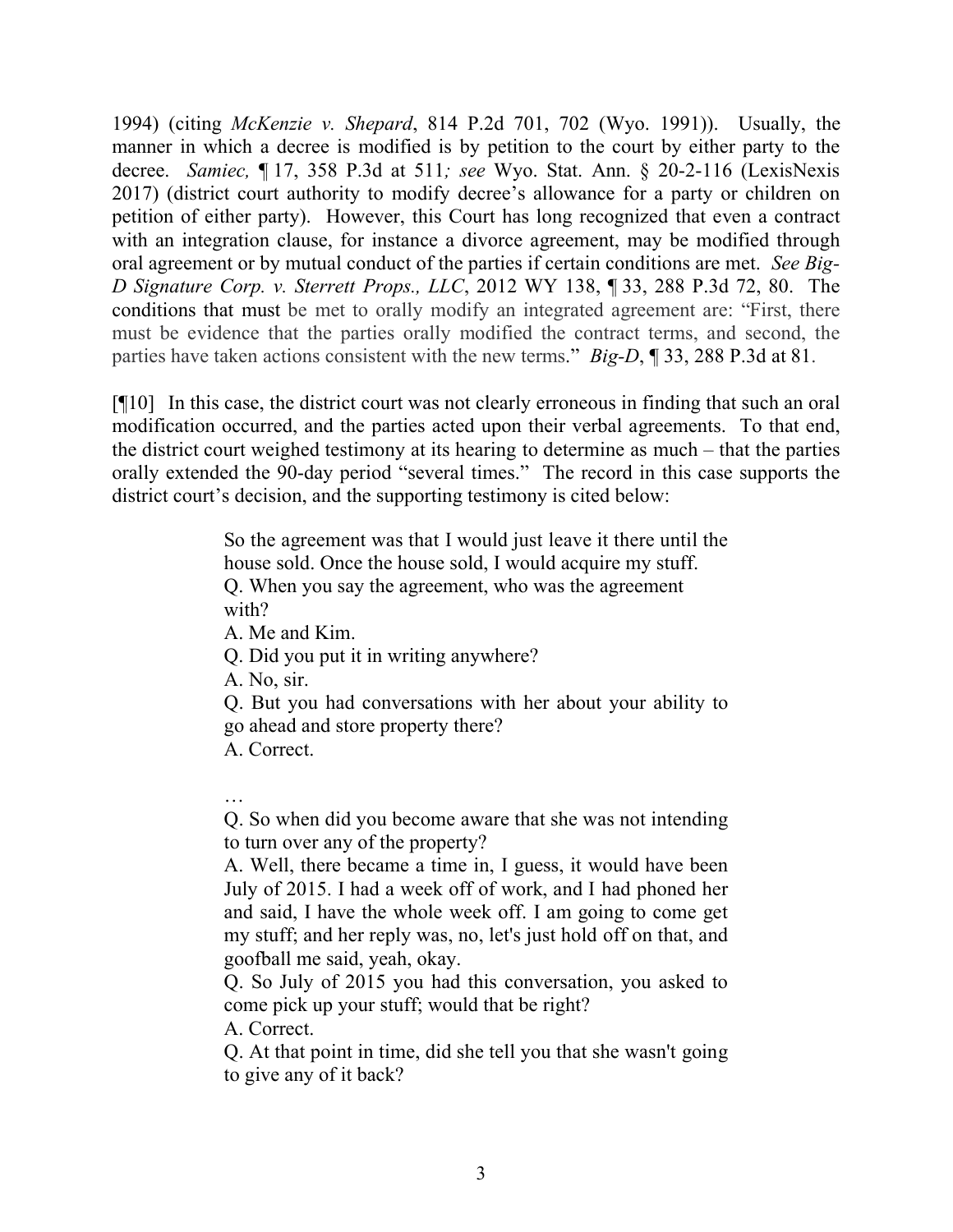1994) (citing *McKenzie v. Shepard*, 814 P.2d 701, 702 (Wyo. 1991)). Usually, the manner in which a decree is modified is by petition to the court by either party to the decree. *Samiec,* ¶ 17, 358 P.3d at 511*; see* Wyo. Stat. Ann. § 20-2-116 (LexisNexis 2017) (district court authority to modify decree's allowance for a party or children on petition of either party). However, this Court has long recognized that even a contract with an integration clause, for instance a divorce agreement, may be modified through oral agreement or by mutual conduct of the parties if certain conditions are met. *See Big-D Signature Corp. v. Sterrett Props., LLC*, 2012 WY 138, ¶ 33, 288 P.3d 72, 80. The conditions that must be met to orally modify an integrated agreement are: "First, there must be evidence that the parties orally modified the contract terms, and second, the parties have taken actions consistent with the new terms." *Big-D*, ¶ 33, 288 P.3d at 81.

[¶10] In this case, the district court was not clearly erroneous in finding that such an oral modification occurred, and the parties acted upon their verbal agreements. To that end, the district court weighed testimony at its hearing to determine as much – that the parties orally extended the 90-day period "several times." The record in this case supports the district court's decision, and the supporting testimony is cited below:

> So the agreement was that I would just leave it there until the house sold. Once the house sold, I would acquire my stuff. Q. When you say the agreement, who was the agreement with?

A. Me and Kim.

Q. Did you put it in writing anywhere?

A. No, sir.

Q. But you had conversations with her about your ability to go ahead and store property there?

A. Correct.

…

Q. So when did you become aware that she was not intending to turn over any of the property?

A. Well, there became a time in, I guess, it would have been July of 2015. I had a week off of work, and I had phoned her and said, I have the whole week off. I am going to come get my stuff; and her reply was, no, let's just hold off on that, and goofball me said, yeah, okay.

Q. So July of 2015 you had this conversation, you asked to come pick up your stuff; would that be right?

A. Correct.

Q. At that point in time, did she tell you that she wasn't going to give any of it back?